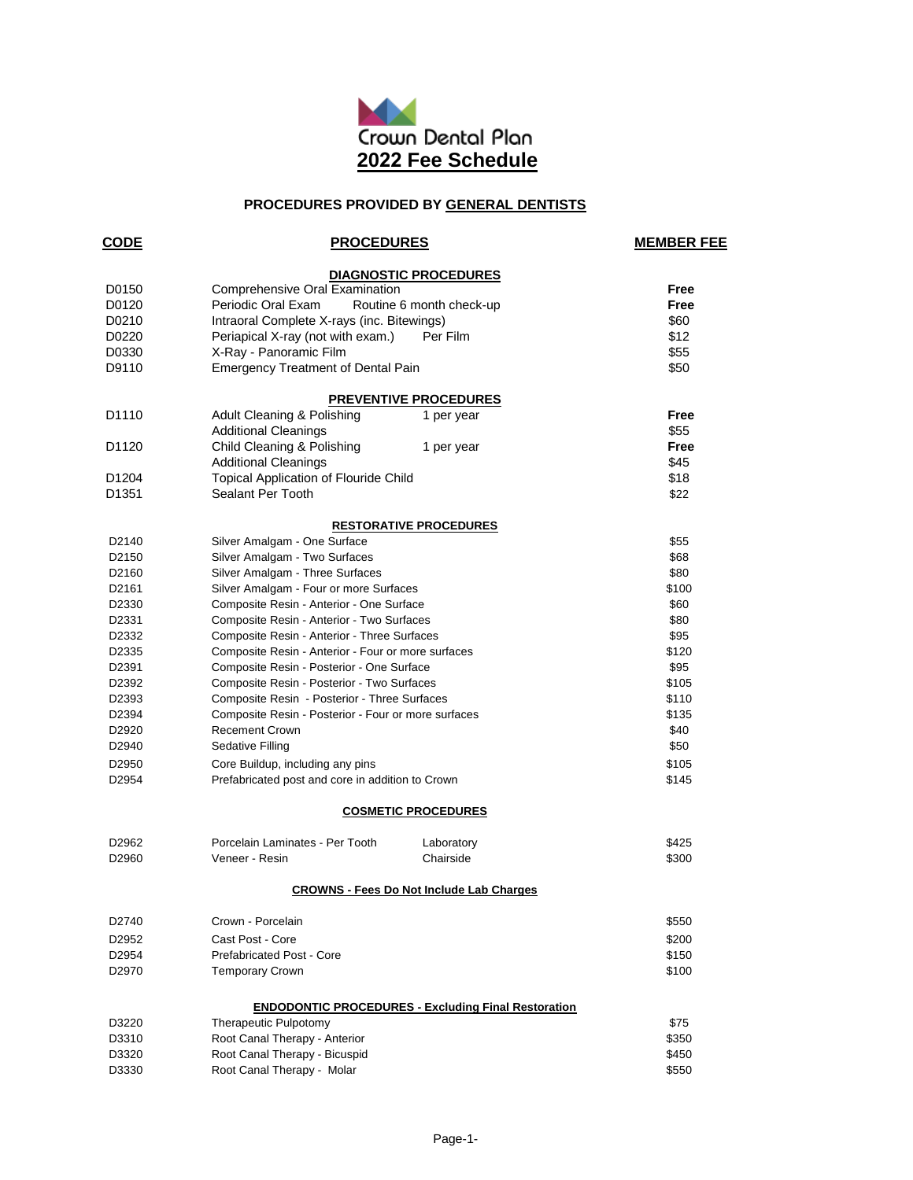

# **PROCEDURES PROVIDED BY GENERAL DENTISTS**

| <b>CODE</b>       | <b>PROCEDURES</b>                                   |                                                            | <b>MEMBER FEE</b> |
|-------------------|-----------------------------------------------------|------------------------------------------------------------|-------------------|
|                   |                                                     | <b>DIAGNOSTIC PROCEDURES</b>                               |                   |
| D0150             | Comprehensive Oral Examination                      | Free                                                       |                   |
| D0120             | Periodic Oral Exam<br>Routine 6 month check-up      | Free                                                       |                   |
| D0210             | Intraoral Complete X-rays (inc. Bitewings)          |                                                            | \$60              |
| D0220             | Periapical X-ray (not with exam.)                   | Per Film                                                   | \$12              |
| D0330             | X-Ray - Panoramic Film                              |                                                            | \$55              |
| D9110             | <b>Emergency Treatment of Dental Pain</b>           |                                                            | \$50              |
|                   |                                                     | <b>PREVENTIVE PROCEDURES</b>                               |                   |
| D <sub>1110</sub> | Adult Cleaning & Polishing                          | 1 per year                                                 | Free              |
|                   | <b>Additional Cleanings</b>                         |                                                            | \$55              |
| D <sub>1120</sub> | Child Cleaning & Polishing                          | 1 per year                                                 | Free              |
|                   | <b>Additional Cleanings</b>                         |                                                            | \$45              |
| D <sub>1204</sub> | <b>Topical Application of Flouride Child</b>        |                                                            | \$18              |
| D <sub>1351</sub> | Sealant Per Tooth                                   |                                                            | \$22              |
|                   |                                                     | <b>RESTORATIVE PROCEDURES</b>                              |                   |
| D <sub>2140</sub> | Silver Amalgam - One Surface                        |                                                            | \$55              |
| D <sub>2150</sub> | Silver Amalgam - Two Surfaces                       |                                                            | \$68              |
| D2160             | Silver Amalgam - Three Surfaces                     |                                                            | \$80              |
| D2161             | Silver Amalgam - Four or more Surfaces              |                                                            | \$100             |
| D2330             | Composite Resin - Anterior - One Surface            |                                                            | \$60              |
| D2331             | Composite Resin - Anterior - Two Surfaces           |                                                            | \$80              |
| D2332             | Composite Resin - Anterior - Three Surfaces         |                                                            | \$95              |
| D2335             | Composite Resin - Anterior - Four or more surfaces  |                                                            | \$120             |
| D2391             | Composite Resin - Posterior - One Surface           |                                                            | \$95              |
| D2392             | Composite Resin - Posterior - Two Surfaces          |                                                            | \$105             |
| D2393             | Composite Resin - Posterior - Three Surfaces        |                                                            | \$110             |
| D2394             | Composite Resin - Posterior - Four or more surfaces |                                                            | \$135             |
| D2920             | <b>Recement Crown</b>                               |                                                            | \$40              |
| D2940             | Sedative Filling                                    |                                                            | \$50              |
| D2950             | Core Buildup, including any pins                    |                                                            | \$105             |
| D2954             | Prefabricated post and core in addition to Crown    |                                                            | \$145             |
|                   |                                                     | <b>COSMETIC PROCEDURES</b>                                 |                   |
| D2962             | Porcelain Laminates - Per Tooth                     | Laboratory                                                 | \$425             |
| D2960             | Veneer - Resin                                      | Chairside                                                  | \$300             |
|                   |                                                     | <b>CROWNS - Fees Do Not Include Lab Charges</b>            |                   |
| D2740             | Crown - Porcelain                                   |                                                            | \$550             |
| D2952             | Cast Post - Core                                    |                                                            | \$200             |
| D2954             | Prefabricated Post - Core                           |                                                            | \$150             |
| D2970             | <b>Temporary Crown</b>                              |                                                            | \$100             |
|                   |                                                     | <b>ENDODONTIC PROCEDURES - Excluding Final Restoration</b> |                   |
| D3220             | Therapeutic Pulpotomy                               |                                                            | \$75              |
| D3310             | Root Canal Therapy - Anterior                       |                                                            | \$350             |
| D3320             | Root Canal Therapy - Bicuspid                       |                                                            | \$450             |
| D3330             | Root Canal Therapy - Molar                          |                                                            | \$550             |
|                   |                                                     |                                                            |                   |